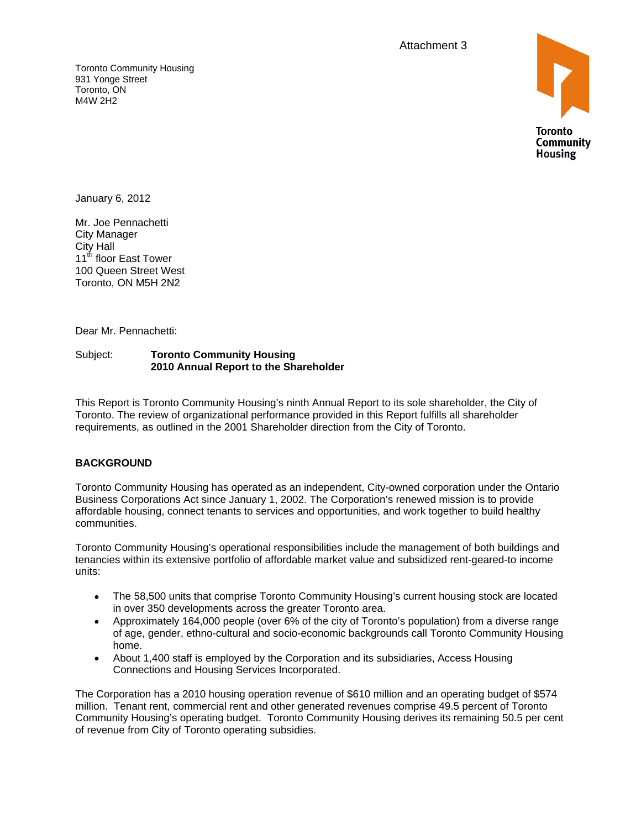Attachment 3 and 3 and 3 and 3 and 3 and 3 and 3 and 3 and 3 and 3 and 3 and 3 and 3 and 3 and 3 and 3 and 3 and 3 and 3 and 3 and 3 and 3 and 3 and 3 and 3 and 3 and 3 and 3 and 3 and 3 and 3 and 3 and 3 and 3 and 3 and 3

Toronto Community Housing **Example 2018 The Community Housing Community Provides and Community Housing** 931 Yonge Street Toronto, ON M4W 2H2



January 6, 2012

Mr. Joe Pennachetti City Manager City Hall  $11^{\text{th}}$  floor East Tower  $\blacksquare$ 100 Queen Street West Toronto, ON M5H 2N2

Dear Mr. Pennachetti:

#### Subject: **Toronto Community Housing 2010 Annual Report to the Shareholder**

This Report is Toronto Community Housing's ninth Annual Report to its sole shareholder, the City of Toronto. The review of organizational performance provided in this Report fulfills all shareholder requirements, as outlined in the 2001 Shareholder direction from the City of Toronto.

### **BACKGROUND**

Toronto Community Housing has operated as an independent, City-owned corporation under the Ontario Business Corporations Act since January 1, 2002. The Corporation's renewed mission is to provide affordable housing, connect tenants to services and opportunities, and work together to build healthy

communities.<br>Toronto Community Housing's operational responsibilities include the management of both buildings and tenancies within its extensive portfolio of affordable market value and subsidized rent-geared-to income units:

- The 58,500 units that comprise Toronto Community Housing's current housing stock are located  $\bullet$ in over 350 developments across the greater Toronto area.
- Approximately 164,000 people (over 6% of the city of Toronto's population) from a diverse range of age, gender, ethno-cultural and socio-economic backgrounds call Toronto Community Housing home.<br>About 1,400 staff is employed by the Corporation and its subsidiaries, Access Housing
- Connections and Housing Services Incorporated.

The Corporation has a 2010 housing operation revenue of \$610 million and an operating budget of \$574 million. Tenant rent, commercial rent and other generated revenues comprise 49.5 percent of Toronto Community Housing's operating budget. Toronto Community Housing derives its remaining 50.5 per cent of revenue from City of Toronto operating subsidies.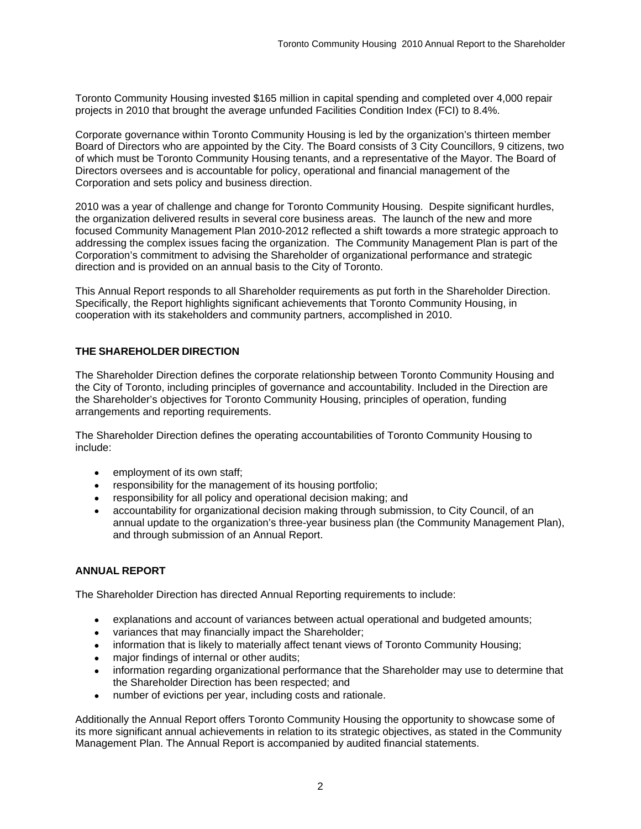Toronto Community Housing invested \$165 million in capital spending and completed over 4,000 repair projects in 2010 that brought the average unfunded Facilities Condition Index (FCI) to 8.4%.

Corporate governance within Toronto Community Housing is led by the organization's thirteen member Board of Directors who are appointed by the City. The Board consists of 3 City Councillors, 9 citizens, two of which must be Toronto Community Housing tenants, and a representative of the Mayor. The Board of Directors oversees and is accountable for policy, operational and financial management of the Corporation and sets policy and business direction.<br>2010 was a year of challenge and change for Toronto Community Housing. Despite significant hurdles,

the organization delivered results in several core business areas. The launch of the new and more focused Community Management Plan 2010-2012 reflected a shift towards a more strategic approach to addressing the complex issues facing the organization. The Community Management Plan is part of the Corporation's commitment to advising the Shareholder of organizational performance and strategic<br>direction and is provided on an annual basis to the City of Toronto.

direction and is provided on an annual basis to the City of Toronto.<br>This Annual Report responds to all Shareholder requirements as put forth in the Shareholder Direction. Specifically, the Report highlights significant achievements that Toronto Community Housing, in cooperation with its stakeholders and community partners, accomplished in 2010.

## **THE SHAREHOLDER DIRECTION**

The Shareholder Direction defines the corporate relationship between Toronto Community Housing and the City of Toronto, including principles of governance and accountability. Included in the Direction are the Shareholder's objectives for Toronto Community Housing, principles of operation, funding arrangements and reporting requirements.

The Shareholder Direction defines the operating accountabilities of Toronto Community Housing to include:

- employment of its own staff;
- responsibility for the management of its housing portfolio;
- responsibility for all policy and operational decision making; and  $\bullet$
- accountability for organizational decision making through submission, to City Council, of an annual update to the organization's three-year business plan (the Community Management Plan), and through submission of an Annual Report.

### **ANNUAL REPORT**

The Shareholder Direction has directed Annual Reporting requirements to include:

- explanations and account of variances between actual operational and budgeted amounts;  $\bullet$
- variances that may financially impact the Shareholder;  $\bullet$
- information that is likely to materially affect tenant views of Toronto Community Housing;  $\bullet$
- major findings of internal or other audits;
- information regarding organizational performance that the Shareholder may use to determine that the Shareholder Direction has been respected; and
- $\bullet$ number of evictions per year, including costs and rationale.

Additionally the Annual Report offers Toronto Community Housing the opportunity to showcase some of its more significant annual achievements in relation to its strategic objectives, as stated in the Community Management Plan. The Annual Report is accompanied by audited financial statements.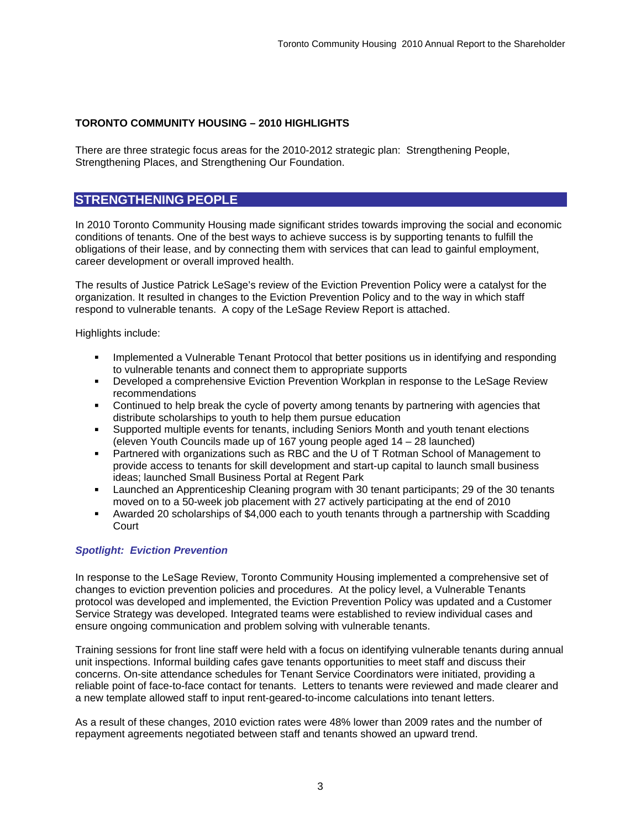### **TORONTO COMMUNITY HOUSING – 2010 HIGHLIGHTS**

There are three strategic focus areas for the 2010-2012 strategic plan: Strengthening People, Strengthening Places, and Strengthening Our Foundation.

## **STRENGTHENING PEOPLE**

In 2010 Toronto Community Housing made significant strides towards improving the social and economic conditions of tenants. One of the best ways to achieve success is by supporting tenants to fulfill the obligations of their lease, and by connecting them with services that can lead to gainful employment, career development or overall improved health.

The results of Justice Patrick LeSage's review of the Eviction Prevention Policy were a catalyst for the organization. It resulted in changes to the Eviction Prevention Policy and to the way in which staff respond to vulnerable tenants. A copy of the LeSage Review Report is attached.

Highlights include:

- Implemented a Vulnerable Tenant Protocol that better positions us in identifying and responding  $\blacksquare$ to vulnerable tenants and connect them to appropriate supports
- Developed a comprehensive Eviction Prevention Workplan in response to the LeSage Review recommendations
- Continued to help break the cycle of poverty among tenants by partnering with agencies that distribute scholarships to youth to help them pursue education
- Supported multiple events for tenants, including Seniors Month and youth tenant elections  $\blacksquare$ (eleven Youth Councils made up of 167 young people aged 14 – 28 launched)
- Partnered with organizations such as RBC and the U of T Rotman School of Management to  $\blacksquare$ provide access to tenants for skill development and start-up capital to launch small business ideas; launched Small Business Portal at Regent Park
- Launched an Apprenticeship Cleaning program with 30 tenant participants; 29 of the 30 tenants moved on to a 50-week job placement with 27 actively participating at the end of 2010
- Awarded 20 scholarships of \$4,000 each to youth tenants through a partnership with Scadding Court **Counter of the County of the County of the County of the County of the County of the County of the County of the County of the County of the County of the County of the County of the County of the County of the Coun**

#### **Spotlight: Eviction Prevention**

In response to the LeSage Review, Toronto Community Housing implemented a comprehensive set of changes to eviction prevention policies and procedures. At the policy level, a Vulnerable Tenants protocol was developed and implemented, the Eviction Prevention Policy was updated and a Customer Service Strategy was developed. Integrated teams were established to review individual cases and ensure ongoing communication and problem solving with vulnerable tenants.

Training sessions for front line staff were held with a focus on identifying vulnerable tenants during annual unit inspections. Informal building cafes gave tenants opportunities to meet staff and discuss their concerns. On-site attendance schedules for Tenant Service Coordinators were initiated, providing a reliable point of face-to-face contact for tenants. Letters to tenants were reviewed and made clearer and a new template allowed staff to input rent-geared-to-income calculations into tenant letters.

As a result of these changes, 2010 eviction rates were 48% lower than 2009 rates and the number of repayment agreements negotiated between staff and tenants showed an upward trend.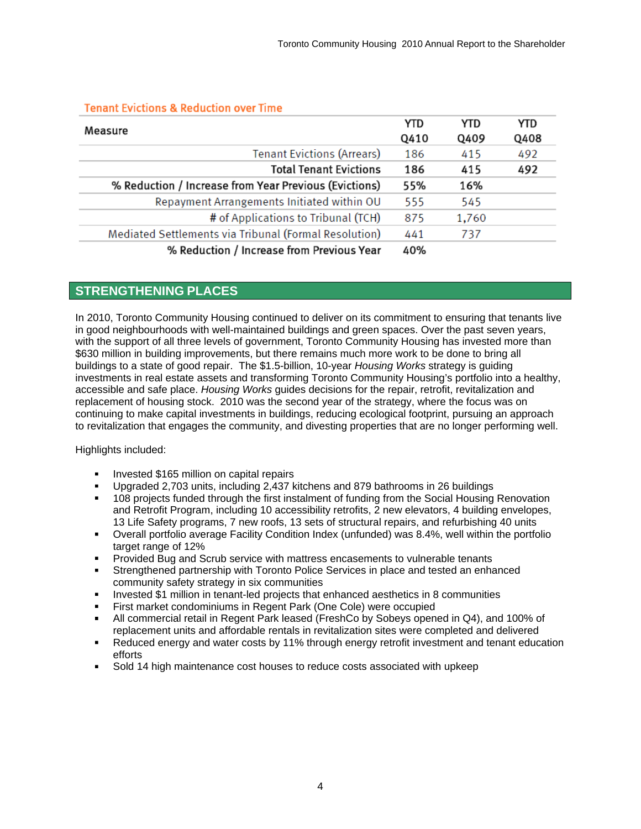| Measure                                               |     | <b>YTD</b> | YTD  |
|-------------------------------------------------------|-----|------------|------|
|                                                       |     | Q409       | Q408 |
| <b>Tenant Evictions (Arrears)</b>                     | 186 | 415        | 492  |
| <b>Total Tenant Evictions</b>                         | 186 | 415        | 492  |
| % Reduction / Increase from Year Previous (Evictions) | 55% | 16%        |      |
| Repayment Arrangements Initiated within OU            | 555 | 545        |      |
| # of Applications to Tribunal (TCH)                   | 875 | 1,760      |      |
| Mediated Settlements via Tribunal (Formal Resolution) | 441 | 737        |      |
| % Reduction / Increase from Previous Year             | 40% |            |      |

## **Tenant Evictions & Reduction over Time**

# **STRENGTHENING PLACES**

In 2010, Toronto Community Housing continued to deliver on its commitment to ensuring that tenants live in good neighbourhoods with well-maintained buildings and green spaces. Over the past seven years, with the support of all three levels of government, Toronto Community Housing has invested more than \$630 million in building improvements, but there remains much more work to be done to bring all buildings to a state of good repair. The \$1.5-billion, 10-year Housing Works strategy is guiding investments in real estate assets and transforming Toronto Community Housing's portfolio into a healthy, accessible and safe place. Housing Works guides decisions for the repair, retrofit, revitalization and replacement of housing stock. 2010 was the second year of the strategy, where the focus was on continuing to make capital investments in buildings, reducing ecological footprint, pursuing an approach to revitalization that engages the community, and divesting properties that are no longer performing well.

Highlights included:

- Invested \$165 million on capital repairs
- Upgraded 2,703 units, including 2,437 kitchens and 879 bathrooms in 26 buildings
- 108 projects funded through the first instalment of funding from the Social Housing Renovation  $\blacksquare$ and Retrofit Program, including 10 accessibility retrofits, 2 new elevators, 4 building envelopes, 13 Life Safety programs, 7 new roofs, 13 sets of structural repairs, and refurbishing 40 units
- $\blacksquare$ Overall portfolio average Facility Condition Index (unfunded) was 8.4%, well within the portfolio target range of 12%
- Provided Bug and Scrub service with mattress encasements to vulnerable tenants
- Strengthened partnership with Toronto Police Services in place and tested an enhanced  $\blacksquare$ community safety strategy in six communities
- Invested \$1 million in tenant-led projects that enhanced aesthetics in 8 communities
- First market condominiums in Regent Park (One Cole) were occupied
- $\blacksquare$ All commercial retail in Regent Park leased (FreshCo by Sobeys opened in Q4), and 100% of replacement units and affordable rentals in revitalization sites were completed and delivered
- Reduced energy and water costs by 11% through energy retrofit investment and tenant education efforts and the contract of the contract of the contract of the contract of the contract of the contract of the contract of the contract of the contract of the contract of the contract of the contract of the contract of th
- Sold 14 high maintenance cost houses to reduce costs associated with upkeep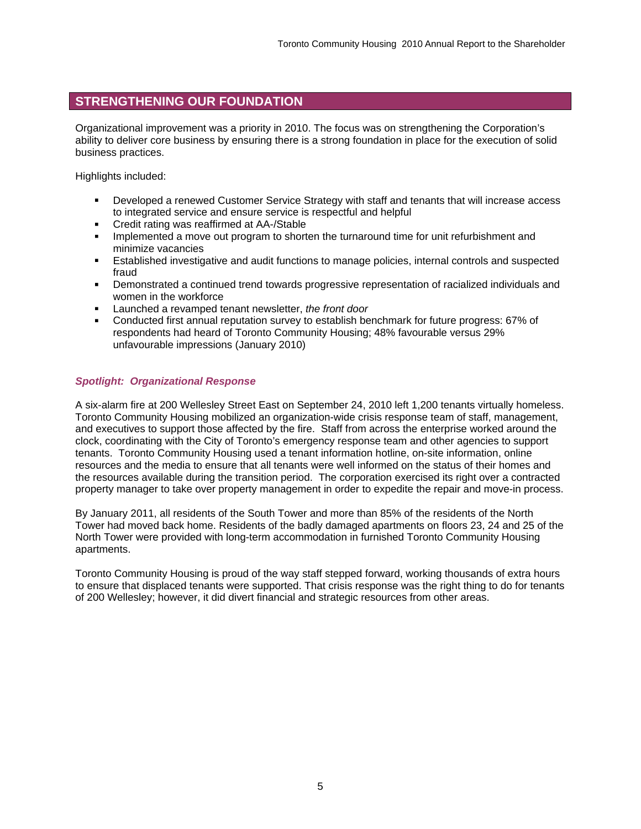# **STRENGTHENING OUR FOUNDATION**

Organizational improvement was a priority in 2010. The focus was on strengthening the Corporation's ability to deliver core business by ensuring there is a strong foundation in place for the execution of solid business practices.

Highlights included:

- $\blacksquare$ Developed a renewed Customer Service Strategy with staff and tenants that will increase access to integrated service and ensure service is respectful and helpful Credit rating was reaffirmed at AA-/Stable
- 
- $\blacksquare$ Implemented a move out program to shorten the turnaround time for unit refurbishment and minimize vacancies
- Established investigative and audit functions to manage policies, internal controls and suspected  $\blacksquare$ fraud
- Demonstrated a continued trend towards progressive representation of racialized individuals and women in the workforce
- **EXEC** Launched a revamped tenant newsletter, the front door
- Conducted first annual reputation survey to establish benchmark for future progress: 67% of respondents had heard of Toronto Community Housing; 48% favourable versus 29% unfavourable impressions (January 2010)

### **Spotlight: Organizational Response**

A six-alarm fire at 200 Wellesley Street East on September 24, 2010 left 1,200 tenants virtually homeless. Toronto Community Housing mobilized an organization-wide crisis response team of staff, management, and executives to support those affected by the fire. Staff from across the enterprise worked around the clock, coordinating with the City of Toronto's emergency response team and other agencies to support tenants. Toronto Community Housing used a tenant information hotline, on-site information, online resources and the media to ensure that all tenants were well informed on the status of their homes and the resources available during the transition period. The corporation exercised its right over a contracted property manager to take over property management in order to expedite the repair and move-in process.

By January 2011, all residents of the South Tower and more than 85% of the residents of the North Tower had moved back home. Residents of the badly damaged apartments on floors 23, 24 and 25 of the North Tower were provided with long-term accommodation in furnished Toronto Community Housing apartments. The contract of the contract of the contract of the contract of the contract of the contract of the contract of the contract of the contract of the contract of the contract of the contract of the contract of th

Toronto Community Housing is proud of the way staff stepped forward, working thousands of extra hours to ensure that displaced tenants were supported. That crisis response was the right thing to do for tenants of 200 Wellesley; however, it did divert financial and strategic resources from other areas.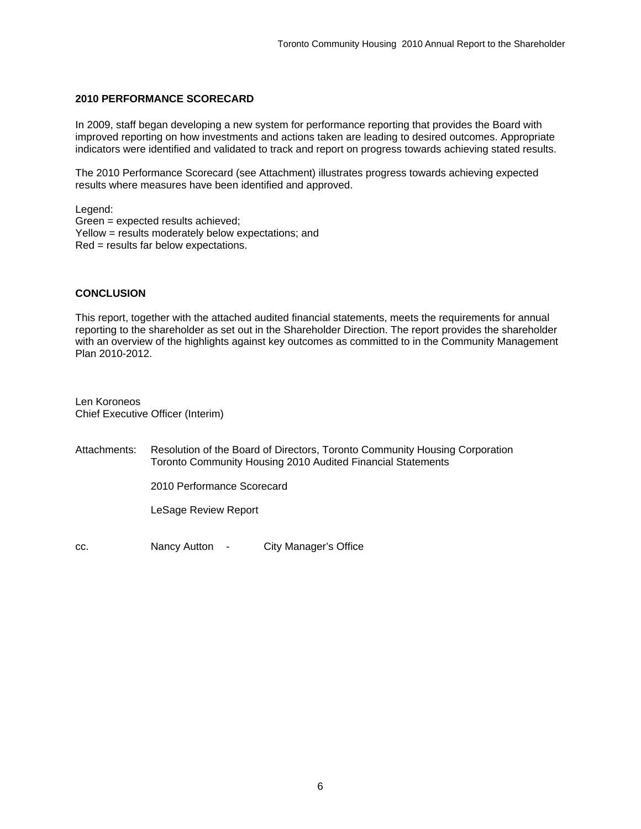#### **2010 PERFORMANCE SCORECARD**

In 2009, staff began developing a new system for performance reporting that provides the Board with improved reporting on how investments and actions taken are leading to desired outcomes. Appropriate indicators were identified and validated to track and report on progress towards achieving stated results.

The 2010 Performance Scorecard (see Attachment) illustrates progress towards achieving expected results where measures have been identified and approved.

Legend: Green = expected results achieved; Yellow = results moderately below expectations; and Red = results far below expectations.

#### **CONCLUSION**

This report, together with the attached audited financial statements, meets the requirements for annual reporting to the shareholder as set out in the Shareholder Direction. The report provides the shareholder with an overview of the highlights against key outcomes as committed to in the Community Management Plan 2010-2012.

Len Koroneos Chief Executive Officer (Interim)

Attachments: Resolution of the Board of Directors, Toronto Community Housing Corporation Toronto Community Housing 2010 Audited Financial Statements

2010 Performance Scorecard

LeSage Review Report

cc. Nancy Autton - City Manager's Office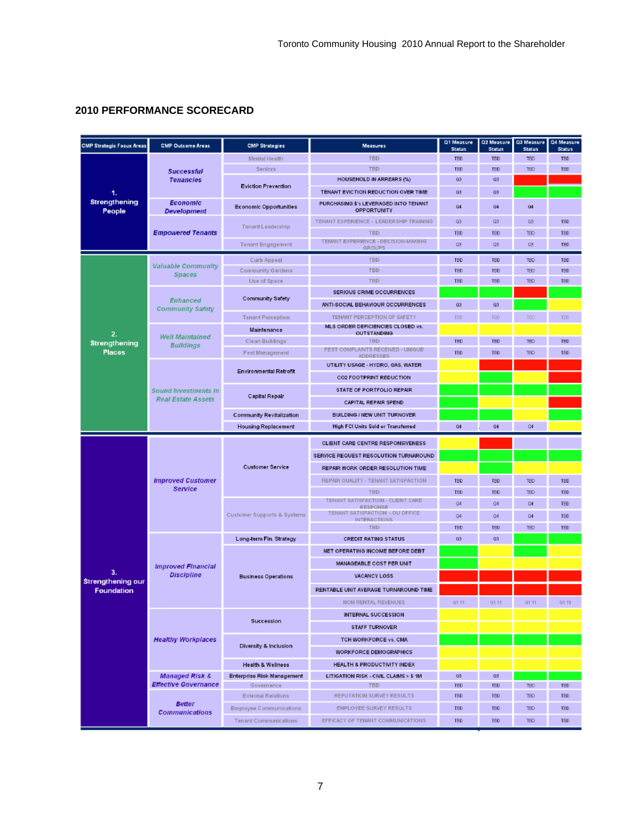# **2010 PERFORMANCE SCORECARD**

| <b>CMP Strategic Focus Areas</b>     | <b>CMP Outcome Areas</b>                                 | <b>CMP Strategies</b>           | <b>Measures</b>                                                            | Q1 Measure<br><b>Status</b> | Q2 Measure<br><b>Status</b> | Q3 Measure<br><b>Status</b> | Q4 Measure<br><b>Status</b> |
|--------------------------------------|----------------------------------------------------------|---------------------------------|----------------------------------------------------------------------------|-----------------------------|-----------------------------|-----------------------------|-----------------------------|
| 1.<br><b>Strengthening</b><br>People | <b>Successful</b><br><b>Tenancies</b>                    | Mental Health                   | <b>TBD</b>                                                                 | <b>TED</b>                  | <b>TED</b>                  | <b>TED</b>                  | TBD                         |
|                                      |                                                          | <b>Seniors</b>                  | <b>TBD</b>                                                                 | TBD                         | TBD                         | <b>TED</b>                  | TBD                         |
|                                      |                                                          |                                 | <b>HOUSEHOLD IN ARREARS (%)</b>                                            | Q3                          | Q3                          |                             |                             |
|                                      |                                                          | <b>Eviction Prevention</b>      | TENANT EVICTION REDUCTION OVER TIME                                        | Q3                          | Q3                          |                             |                             |
|                                      | <b>Economic</b><br><b>Development</b>                    | <b>Economic Opportunities</b>   | PURCHASING \$'s LEVERAGED INTO TENANT<br>OPPORTUNITY                       | 04                          | 04                          | 04                          |                             |
|                                      | <b>Empowered Tenants</b>                                 | Tenant Leadership               | TENANT EXPERIENCE - LEADERSHIP TRAINING                                    | Q3                          | <b>Q3</b>                   | $\Omega$ 3                  | TBD                         |
|                                      |                                                          |                                 | <b>TBD</b>                                                                 | <b>TBD</b>                  | <b>TBD</b>                  | TB <sub>O</sub>             | <b>TBD</b>                  |
|                                      |                                                          | Tenant Engagement               | TENANT EXPERIENCE - DECISION-MAKING<br>GROUPS                              | Q3                          | Q3                          | <b>QS</b>                   | TBD                         |
|                                      | <b>Valuable Community</b><br><b>Spaces</b>               | Curb Appeal                     | <b>TBD</b>                                                                 | <b>TED</b>                  | <b>TED</b>                  | <b>TED</b>                  | TBD                         |
|                                      |                                                          | Community Gardens               | <b>TBD</b>                                                                 | <b>TBD</b>                  | <b>TBD</b>                  | <b>TBD</b>                  | TBD                         |
|                                      |                                                          | Use of Space                    | <b>TBD</b>                                                                 | TBD                         | TBD                         | <b>TBD</b>                  | TBD                         |
|                                      | <b>Enhanced</b><br><b>Community Safety</b>               | Community Safety                | SERIOUS CRIME OCCURRENCES                                                  |                             |                             |                             |                             |
| 2.<br>Strengthening<br><b>Places</b> |                                                          |                                 | ANTI-SOCIAL BEHAVIOUR OCCURRENCES                                          | Q3                          | Q3                          |                             |                             |
|                                      |                                                          | <b>Tenant Perception</b>        | TENANT PERCEPTION OF SAFETY                                                | <b>TBD</b>                  | <b>TBD</b>                  | TBD                         | <b>TBD</b>                  |
|                                      |                                                          | Maintenance                     | MLS ORDER DEFICIENCIES CLOSED vs.<br><b>OUTSTANDING</b>                    |                             |                             |                             |                             |
|                                      | <b>Well Maintained</b><br><b>Buildings</b>               | Clean Buildings                 | <b>TBD</b>                                                                 | TBD                         | TBD                         | <b>TBD</b>                  | TBD                         |
|                                      |                                                          | Pest Management                 | PEST COMPLAINTS RECEIVED - UNIQUE<br><b>ADDRESSES</b>                      | TBD                         | <b>TBD</b>                  | <b>TBD</b>                  | TBD                         |
|                                      | <b>Sound Investments in</b><br><b>Real Estate Assets</b> | <b>Environmental Retrofit</b>   | UTILITY USAGE - HYDRO, GAS, WATER                                          |                             |                             |                             |                             |
|                                      |                                                          |                                 | CO2 FOOTPRINT REDUCTION                                                    |                             |                             |                             |                             |
|                                      |                                                          | Capital Repair                  | STATE OF PORTFOLIO REPAIR                                                  |                             |                             |                             |                             |
|                                      |                                                          |                                 | CAPITAL REPAIR SPEND                                                       |                             |                             |                             |                             |
|                                      |                                                          | <b>Community Revitalization</b> | <b>BUILDING / NEW UNIT TURNOVER</b>                                        |                             |                             |                             |                             |
|                                      |                                                          | <b>Housing Replacement</b>      | High FCI Units Sold or Transferred                                         | Q4                          | Q4                          | Q4                          |                             |
|                                      |                                                          |                                 |                                                                            |                             |                             |                             |                             |
|                                      | <b>Improved Customer</b><br><b>Service</b>               | <b>Customer Service</b>         | CLIENT CARE CENTRE RESPONSIVENESS<br>SERVICE REQUEST RESOLUTION TURNAROUND |                             |                             |                             |                             |
|                                      |                                                          |                                 | REPAIR WORK ORDER RESOLUTION TIME                                          |                             |                             |                             |                             |
|                                      |                                                          |                                 |                                                                            |                             |                             |                             |                             |
|                                      |                                                          |                                 | REPAIR QUALITY - TENANT SATISFACTION                                       | TED                         | TED                         | <b>TED</b>                  | TBD                         |
|                                      |                                                          | Customer Supports & Systems     | <b>TBD</b><br>TENANT SATISFACTION - CLIENT CARE                            | TBD                         | TBD<br>Q4                   | TBD                         | TBD                         |
|                                      |                                                          |                                 | <b>RESPONSE</b><br>TENANT SATISFACTION - OU OFFICE                         | Q4                          |                             | Q4                          | <b>TBD</b>                  |
|                                      |                                                          |                                 | INTERACTIONS                                                               | Q4                          | Q4                          | Q4                          | <b>TBD</b>                  |
|                                      |                                                          | Long-term Fin. Strategy         | <b>TBD</b>                                                                 | TBD<br>Q3                   | <b>TBD</b><br>Q3            | <b>TED</b>                  | TBD                         |
|                                      | <b>Improved Financial</b><br><b>Discipline</b>           |                                 | <b>CREDIT RATING STATUS</b>                                                |                             |                             |                             |                             |
|                                      |                                                          | <b>Business Operations</b>      | NET OPERATING INCOME BEFORE DEBT                                           |                             |                             |                             |                             |
| З.                                   |                                                          |                                 | <b>MANAGEABLE COST PER UNIT</b>                                            |                             |                             |                             |                             |
| <b>Strengthening our</b>             |                                                          |                                 | <b>VACANCY LOSS</b>                                                        |                             |                             |                             |                             |
| <b>Foundation</b>                    |                                                          |                                 | RENTABLE UNIT AVERAGE TURNAROUND TIME                                      |                             |                             |                             |                             |
|                                      |                                                          |                                 | NON RENTAL REVENUES                                                        | 01.11                       | 01.11                       | 01:11                       | 01.11                       |
|                                      | <b>Healthy Workplaces</b>                                | Succession                      | <b>INTERNAL SUCCESSION</b>                                                 |                             |                             |                             |                             |
|                                      |                                                          |                                 | <b>STAFF TURNOVER</b>                                                      |                             |                             |                             |                             |
|                                      |                                                          | Diversity & Inclusion           | TCH WORKFORCE vs. CMA                                                      |                             |                             |                             |                             |
|                                      |                                                          |                                 | <b>WORKFORCE DEMOGRAPHICS</b>                                              |                             |                             |                             |                             |
|                                      |                                                          | Health & Wellness               | HEALTH & PRODUCTIVITY INDEX                                                |                             |                             |                             |                             |
|                                      | <b>Managed Risk &amp;</b>                                | Enterprise Risk Management      | LITIGATION RISK - CIVIL CLAIMS > \$ 1M                                     | Q3                          | Q3                          |                             |                             |
|                                      | <b>Effective Governance</b>                              | Governance                      | <b>TBD</b>                                                                 | <b>TBD</b>                  | TBD                         | <b>TBD</b>                  | TBD                         |
|                                      | <b>Better</b><br><b>Communications</b>                   | <b>External Relations</b>       | REPUTATION SURVEY RESULTS                                                  | <b>TED</b>                  | <b>TBD</b>                  | <b>TED</b>                  | TBD                         |
|                                      |                                                          | Employee Communications         | EMPLOYEE SURVEY RESULTS                                                    | TED                         | <b>TBD</b>                  | <b>TBD</b>                  | TBD                         |
|                                      |                                                          | <b>Tenant Communications</b>    | EFFICACY OF TENANT COMMUNICATIONS                                          | TED                         | <b>TBD</b>                  | <b>TBD</b>                  | TBD                         |